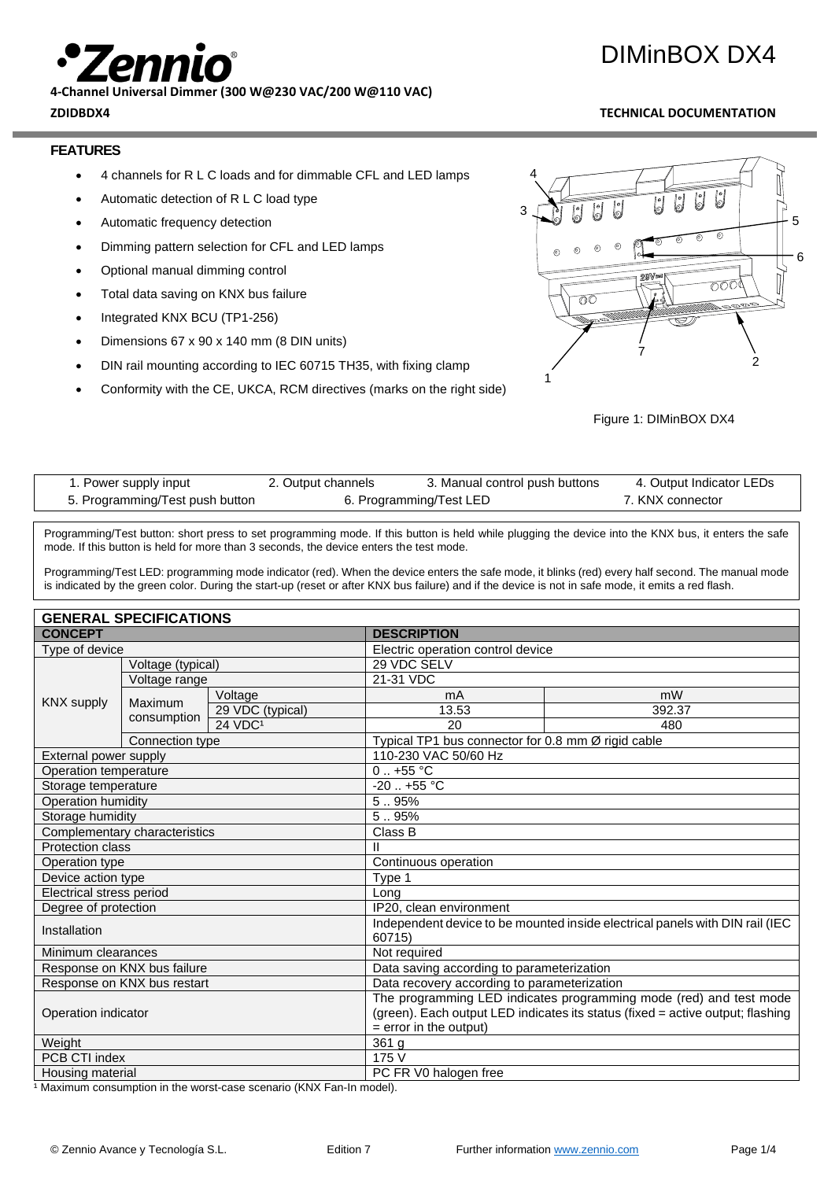**4-Channel Universal Dimmer (300 W@230 VAC/200 W@110 VAC)**

## **ZDIDBDX4 TECHNICAL DOCUMENTATION**

DIMinBOX DX4

## **FEATURES**

- 4 channels for R L C loads and for dimmable CFL and LED lamps
- Automatic detection of R L C load type
- Automatic frequency detection
- Dimming pattern selection for CFL and LED lamps
- Optional manual dimming control
- Total data saving on KNX bus failure
- Integrated KNX BCU (TP1-256)
- Dimensions 67 x 90 x 140 mm (8 DIN units)
- DIN rail mounting according to IEC 60715 TH35, with fixing clamp
- Conformity with the CE, UKCA, RCM directives (marks on the right side)



Figure 1: DIMinBOX DX4

| 1. Power supply input           | 2. Output channels      | 3. Manual control push buttons | 4. Output Indicator LEDs |  |
|---------------------------------|-------------------------|--------------------------------|--------------------------|--|
| 5. Programming/Test push button | 6. Programming/Test LED |                                | 7. KNX connector         |  |

Programming/Test button: short press to set programming mode. If this button is held while plugging the device into the KNX bus, it enters the safe mode. If this button is held for more than 3 seconds, the device enters the test mode.

Programming/Test LED: programming mode indicator (red). When the device enters the safe mode, it blinks (red) every half second. The manual mode is indicated by the green color. During the start-up (reset or after KNX bus failure) and if the device is not in safe mode, it emits a red flash.

| <b>GENERAL SPECIFICATIONS</b> |                               |                                                                                |                                                    |        |  |  |
|-------------------------------|-------------------------------|--------------------------------------------------------------------------------|----------------------------------------------------|--------|--|--|
| <b>CONCEPT</b>                |                               |                                                                                | <b>DESCRIPTION</b>                                 |        |  |  |
| Type of device                |                               |                                                                                | Electric operation control device                  |        |  |  |
|                               | Voltage (typical)             |                                                                                | 29 VDC SELV                                        |        |  |  |
|                               | Voltage range                 |                                                                                | 21-31 VDC                                          |        |  |  |
| <b>KNX supply</b>             | Maximum                       | Voltage                                                                        | mA                                                 | mW     |  |  |
|                               | consumption                   | 29 VDC (typical)                                                               | 13.53                                              | 392.37 |  |  |
|                               |                               | 24 VDC <sup>1</sup>                                                            | 20                                                 | 480    |  |  |
|                               | Connection type               |                                                                                | Typical TP1 bus connector for 0.8 mm Ø rigid cable |        |  |  |
| External power supply         |                               |                                                                                | 110-230 VAC 50/60 Hz                               |        |  |  |
| Operation temperature         |                               |                                                                                | $0.1 + 55$ °C                                      |        |  |  |
| Storage temperature           |                               |                                                                                | $-20$ $+55$ °C                                     |        |  |  |
| Operation humidity            |                               |                                                                                | 5.95%                                              |        |  |  |
| Storage humidity              |                               |                                                                                | 5.95%                                              |        |  |  |
|                               | Complementary characteristics |                                                                                | Class B                                            |        |  |  |
| <b>Protection class</b>       |                               |                                                                                | Ш                                                  |        |  |  |
| Operation type                |                               | Continuous operation                                                           |                                                    |        |  |  |
| Device action type            |                               | Type 1                                                                         |                                                    |        |  |  |
| Electrical stress period      |                               | Long                                                                           |                                                    |        |  |  |
| Degree of protection          |                               | IP20, clean environment                                                        |                                                    |        |  |  |
| Installation                  |                               | Independent device to be mounted inside electrical panels with DIN rail (IEC   |                                                    |        |  |  |
|                               |                               | 60715)                                                                         |                                                    |        |  |  |
| Minimum clearances            |                               | Not required                                                                   |                                                    |        |  |  |
| Response on KNX bus failure   |                               | Data saving according to parameterization                                      |                                                    |        |  |  |
| Response on KNX bus restart   |                               | Data recovery according to parameterization                                    |                                                    |        |  |  |
| Operation indicator           |                               | The programming LED indicates programming mode (red) and test mode             |                                                    |        |  |  |
|                               |                               | (green). Each output LED indicates its status (fixed = active output; flashing |                                                    |        |  |  |
|                               |                               | $=$ error in the output)                                                       |                                                    |        |  |  |
| Weight                        |                               |                                                                                | 361 g                                              |        |  |  |
| PCB CTI index                 |                               |                                                                                | 175 V                                              |        |  |  |
| Housing material              |                               |                                                                                | PC FR V0 halogen free                              |        |  |  |

<sup>1</sup> Maximum consumption in the worst-case scenario (KNX Fan-In model).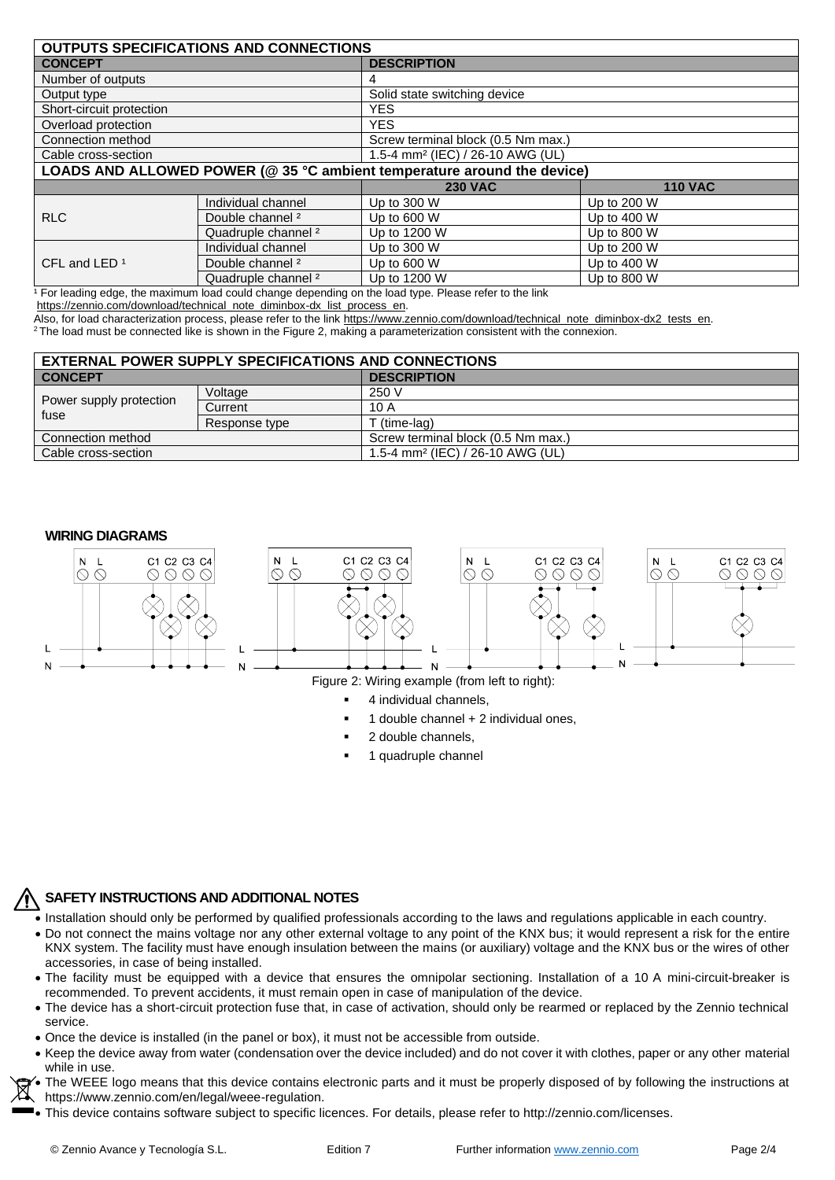| <b>OUTPUTS SPECIFICATIONS AND CONNECTIONS</b>                           |                                |                                                                |                |  |
|-------------------------------------------------------------------------|--------------------------------|----------------------------------------------------------------|----------------|--|
| <b>CONCEPT</b>                                                          |                                | <b>DESCRIPTION</b>                                             |                |  |
| Number of outputs                                                       |                                |                                                                |                |  |
| Output type                                                             |                                | Solid state switching device                                   |                |  |
| Short-circuit protection                                                |                                | <b>YES</b>                                                     |                |  |
| Overload protection                                                     |                                | <b>YES</b>                                                     |                |  |
| Connection method                                                       |                                | Screw terminal block (0.5 Nm max.)                             |                |  |
| Cable cross-section                                                     |                                | 1.5-4 mm <sup>2</sup> (IEC) / 26-10 AWG (UL)                   |                |  |
| LOADS AND ALLOWED POWER (@ 35 °C ambient temperature around the device) |                                |                                                                |                |  |
|                                                                         |                                | <b>230 VAC</b>                                                 | <b>110 VAC</b> |  |
| <b>RLC</b>                                                              | Individual channel             | Up to 300 W                                                    | Up to 200 W    |  |
|                                                                         | Double channel <sup>2</sup>    | Up to 600 W                                                    | Up to 400 W    |  |
|                                                                         | Quadruple channel <sup>2</sup> | Up to 1200 W                                                   | Up to 800 W    |  |
| CFL and LED <sup>1</sup><br>.                                           | Individual channel             | Up to 300 W                                                    | Up to 200 W    |  |
|                                                                         | Double channel <sup>2</sup>    | Up to 600 W                                                    | Up to 400 W    |  |
|                                                                         | Quadruple channel <sup>2</sup> | Up to 1200 W<br>$\sim$ $\sim$ $\sim$ $\sim$ $\sim$ $\sim$<br>. | Up to 800 W    |  |

<sup>1</sup> For leading edge, the maximum load could change depending on the load type. Please refer to the link

[https://zennio.com/download/technical\\_note\\_diminbox-dx\\_list\\_process\\_en.](https://zennio.com/download/technical_note_diminbox-dx_list_process_en)

Also, for load characterization process, please refer to the link https://www.zennio.com/download/technical\_note\_diminbox-dx2\_tests\_en.

<sup>2</sup>The load must be connected like is shown in the Figure 2, making a parameterization consistent with the connexion.

| <b>EXTERNAL POWER SUPPLY SPECIFICATIONS AND CONNECTIONS</b> |               |                                              |  |
|-------------------------------------------------------------|---------------|----------------------------------------------|--|
| <b>CONCEPT</b>                                              |               | <b>DESCRIPTION</b>                           |  |
| Power supply protection<br>fuse                             | Voltage       | 250 V                                        |  |
|                                                             | Current       | 10 A                                         |  |
|                                                             | Response type | Γ (time-lag)                                 |  |
| Connection method                                           |               | Screw terminal block (0.5 Nm max.)           |  |
| Cable cross-section                                         |               | 1.5-4 mm <sup>2</sup> (IEC) / 26-10 AWG (UL) |  |

### **WIRING DIAGRAMS**



- 1 double channel + 2 individual ones,
- 2 double channels,
- 1 quadruple channel

## **SAFETY INSTRUCTIONS AND ADDITIONAL NOTES**

- Installation should only be performed by qualified professionals according to the laws and regulations applicable in each country.
- Do not connect the mains voltage nor any other external voltage to any point of the KNX bus; it would represent a risk for the entire KNX system. The facility must have enough insulation between the mains (or auxiliary) voltage and the KNX bus or the wires of other accessories, in case of being installed.
- The facility must be equipped with a device that ensures the omnipolar sectioning. Installation of a 10 A mini-circuit-breaker is recommended. To prevent accidents, it must remain open in case of manipulation of the device.
- The device has a short-circuit protection fuse that, in case of activation, should only be rearmed or replaced by the Zennio technical service.
- Once the device is installed (in the panel or box), it must not be accessible from outside.
- Keep the device away from water (condensation over the device included) and do not cover it with clothes, paper or any other material while in use.
- The WEEE logo means that this device contains electronic parts and it must be properly disposed of by following the instructions at https://www.zennio.com/en/legal/weee-regulation.
- This device contains software subject to specific licences. For details, please refer to http://zennio.com/licenses.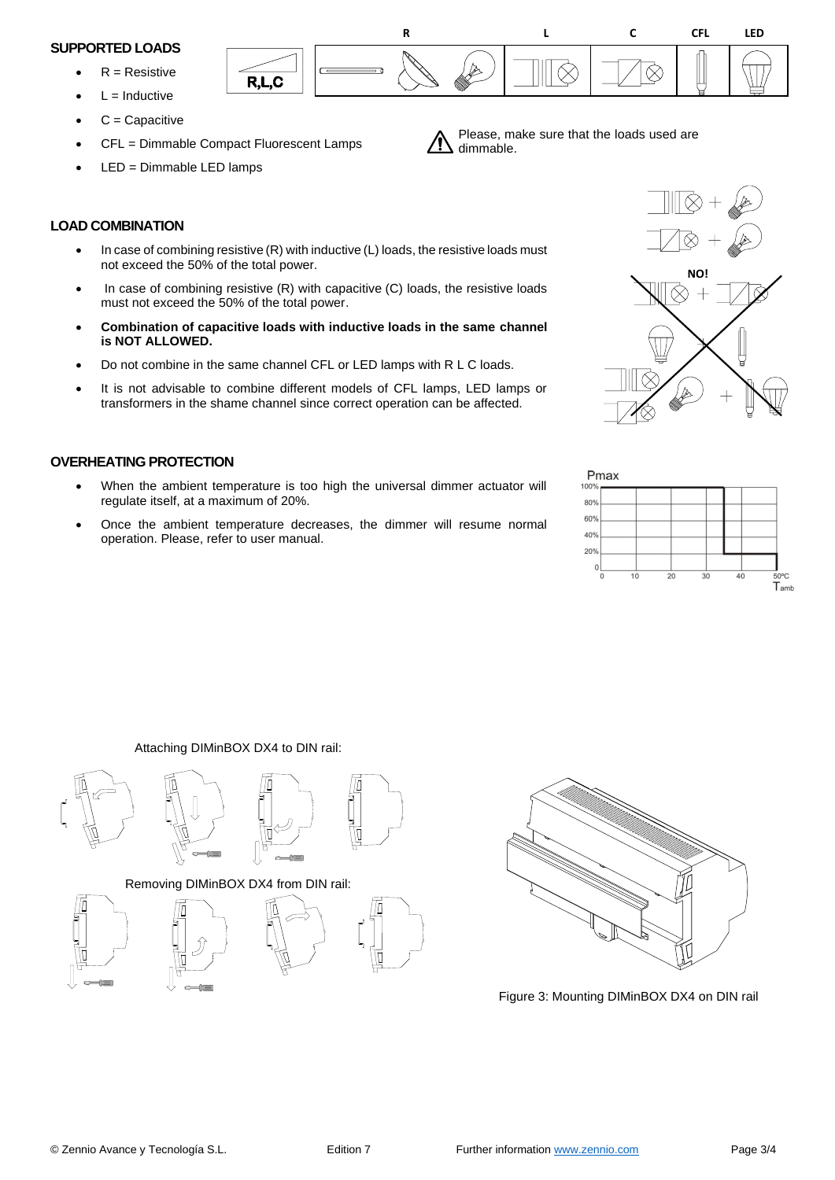### **SUPPORTED LOADS**

- $R =$ Resistive
- $L = Inductive$
- $C =$ Capacitive
- CFL = Dimmable Compact Fluorescent Lamps
- LED = Dimmable LED lamps

# **LOAD COMBINATION**

- In case of combining resistive (R) with inductive (L) loads, the resistive loads must not exceed the 50% of the total power.
- In case of combining resistive (R) with capacitive (C) loads, the resistive loads must not exceed the 50% of the total power.
- **Combination of capacitive loads with inductive loads in the same channel is NOT ALLOWED.**
- Do not combine in the same channel CFL or LED lamps with R L C loads.
- It is not advisable to combine different models of CFL lamps, LED lamps or transformers in the shame channel since correct operation can be affected.

# **OVERHEATING PROTECTION**

- When the ambient temperature is too high the universal dimmer actuator will regulate itself, at a maximum of 20%.
- Once the ambient temperature decreases, the dimmer will resume normal operation. Please, refer to user manual.





Please, make sure that the loads used are dimmable.





Attaching DIMinBOX DX4 to DIN rail:



Removing DIMinBOX DX4 from DIN rail:







Figure 3: Mounting DIMinBOX DX4 on DIN rail